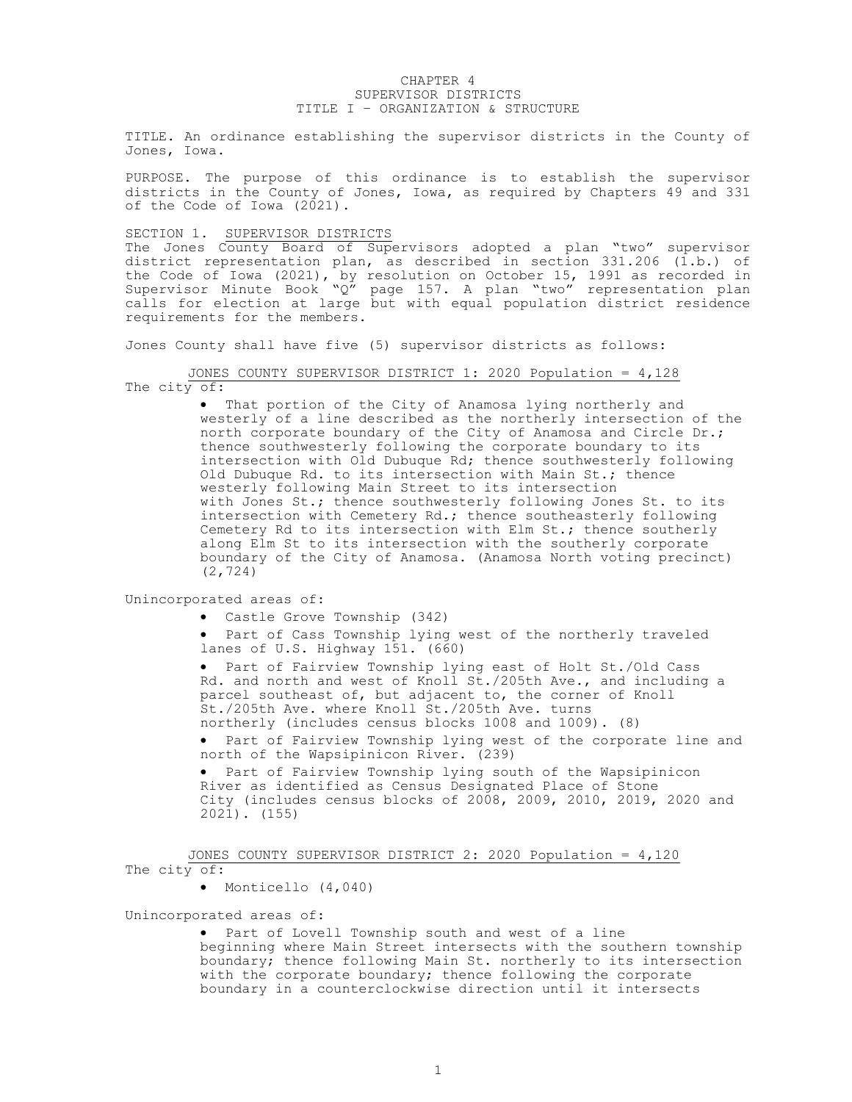## CHAPTER 4 SUPERVISOR DISTRICTS TITLE I – ORGANIZATION & STRUCTURE

TITLE. An ordinance establishing the supervisor districts in the County of Jones, Iowa.

PURPOSE. The purpose of this ordinance is to establish the supervisor districts in the County of Jones, Iowa, as required by Chapters 49 and 331 of the Code of Iowa (2021).

SECTION 1. SUPERVISOR DISTRICTS

The Jones County Board of Supervisors adopted a plan "two" supervisor district representation plan, as described in section 331.206 (1.b.) of the Code of Iowa (2021), by resolution on October 15, 1991 as recorded in Supervisor Minute Book "Q" page 157. A plan "two" representation plan calls for election at large but with equal population district residence requirements for the members.

Jones County shall have five (5) supervisor districts as follows:

JONES COUNTY SUPERVISOR DISTRICT 1: 2020 Population = 4,128 The city of:

> That portion of the City of Anamosa lying northerly and westerly of a line described as the northerly intersection of the north corporate boundary of the City of Anamosa and Circle Dr.; thence southwesterly following the corporate boundary to its intersection with Old Dubuque Rd; thence southwesterly following Old Dubuque Rd. to its intersection with Main St.; thence westerly following Main Street to its intersection with Jones St.; thence southwesterly following Jones St. to its intersection with Cemetery Rd.; thence southeasterly following Cemetery Rd to its intersection with Elm St.; thence southerly along Elm St to its intersection with the southerly corporate boundary of the City of Anamosa. (Anamosa North voting precinct) (2,724)

Unincorporated areas of:

Castle Grove Township (342)

• Part of Cass Township lying west of the northerly traveled lanes of U.S. Highway 151. (660)

 Part of Fairview Township lying east of Holt St./Old Cass Rd. and north and west of Knoll St./205th Ave., and including a parcel southeast of, but adjacent to, the corner of Knoll St./205th Ave. where Knoll St./205th Ave. turns northerly (includes census blocks 1008 and 1009). (8)

 Part of Fairview Township lying west of the corporate line and north of the Wapsipinicon River. (239)

 Part of Fairview Township lying south of the Wapsipinicon River as identified as Census Designated Place of Stone City (includes census blocks of 2008, 2009, 2010, 2019, 2020 and 2021). (155)

JONES COUNTY SUPERVISOR DISTRICT 2: 2020 Population = 4,120 The city of:

• Monticello (4,040)

Unincorporated areas of:

 Part of Lovell Township south and west of a line beginning where Main Street intersects with the southern township boundary; thence following Main St. northerly to its intersection with the corporate boundary; thence following the corporate boundary in a counterclockwise direction until it intersects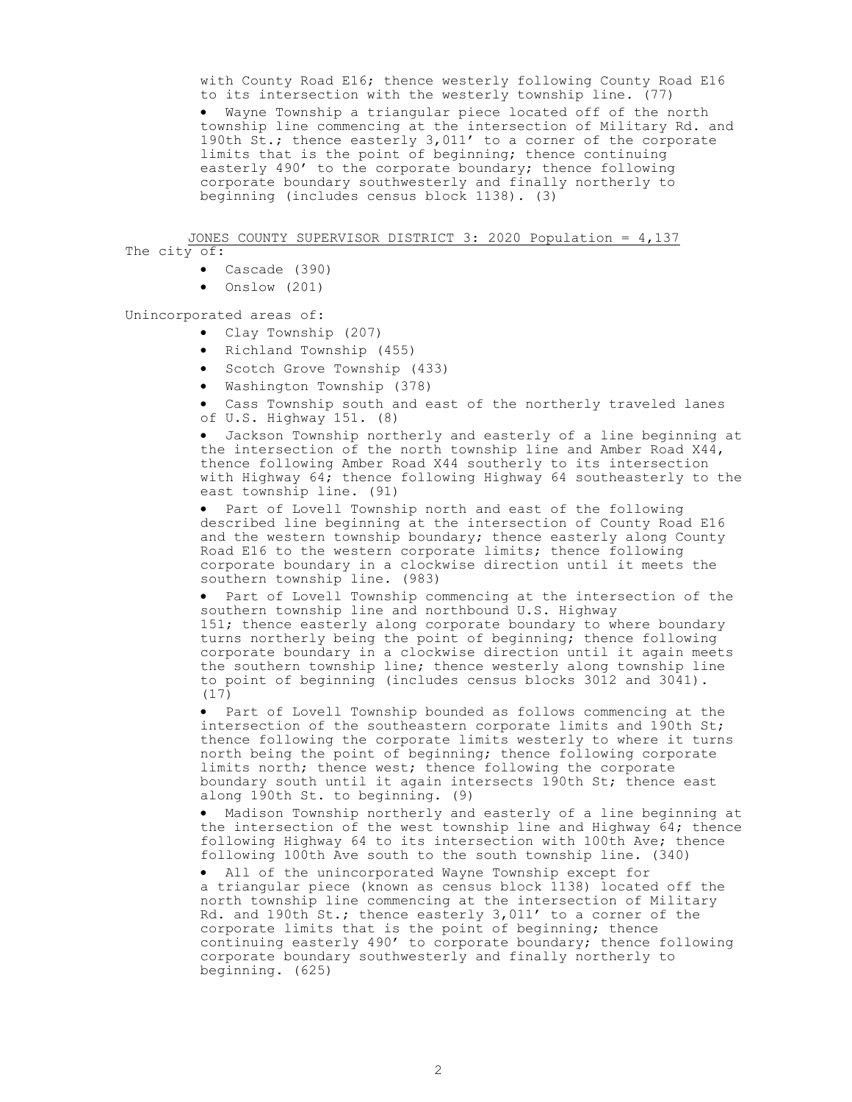with County Road E16; thence westerly following County Road E16 to its intersection with the westerly township line. (77) Wayne Township a triangular piece located off of the north township line commencing at the intersection of Military Rd. and 190th St.; thence easterly 3,011' to a corner of the corporate limits that is the point of beginning; thence continuing easterly 490' to the corporate boundary; thence following corporate boundary southwesterly and finally northerly to beginning (includes census block 1138). (3)

JONES COUNTY SUPERVISOR DISTRICT 3: 2020 Population = 4,137 The city of:

- Cascade (390)
	- Onslow (201)

Unincorporated areas of:

- Clay Township (207)
- Richland Township (455)
- Scotch Grove Township (433)
- Washington Township (378)
- Cass Township south and east of the northerly traveled lanes of U.S. Highway 151. (8)

 Jackson Township northerly and easterly of a line beginning at the intersection of the north township line and Amber Road X44, thence following Amber Road X44 southerly to its intersection with Highway 64; thence following Highway 64 southeasterly to the east township line. (91)

• Part of Lovell Township north and east of the following described line beginning at the intersection of County Road E16 and the western township boundary; thence easterly along County Road E16 to the western corporate limits; thence following corporate boundary in a clockwise direction until it meets the southern township line. (983)

 Part of Lovell Township commencing at the intersection of the southern township line and northbound U.S. Highway 151; thence easterly along corporate boundary to where boundary turns northerly being the point of beginning; thence following corporate boundary in a clockwise direction until it again meets the southern township line; thence westerly along township line to point of beginning (includes census blocks 3012 and 3041). (17)

 Part of Lovell Township bounded as follows commencing at the intersection of the southeastern corporate limits and 190th St; thence following the corporate limits westerly to where it turns north being the point of beginning; thence following corporate limits north; thence west; thence following the corporate boundary south until it again intersects 190th St; thence east along 190th St. to beginning. (9)

 Madison Township northerly and easterly of a line beginning at the intersection of the west township line and Highway 64; thence following Highway 64 to its intersection with 100th Ave; thence following 100th Ave south to the south township line. (340)

 All of the unincorporated Wayne Township except for a triangular piece (known as census block 1138) located off the north township line commencing at the intersection of Military Rd. and 190th St.; thence easterly 3,011' to a corner of the corporate limits that is the point of beginning; thence continuing easterly 490' to corporate boundary; thence following corporate boundary southwesterly and finally northerly to beginning. (625)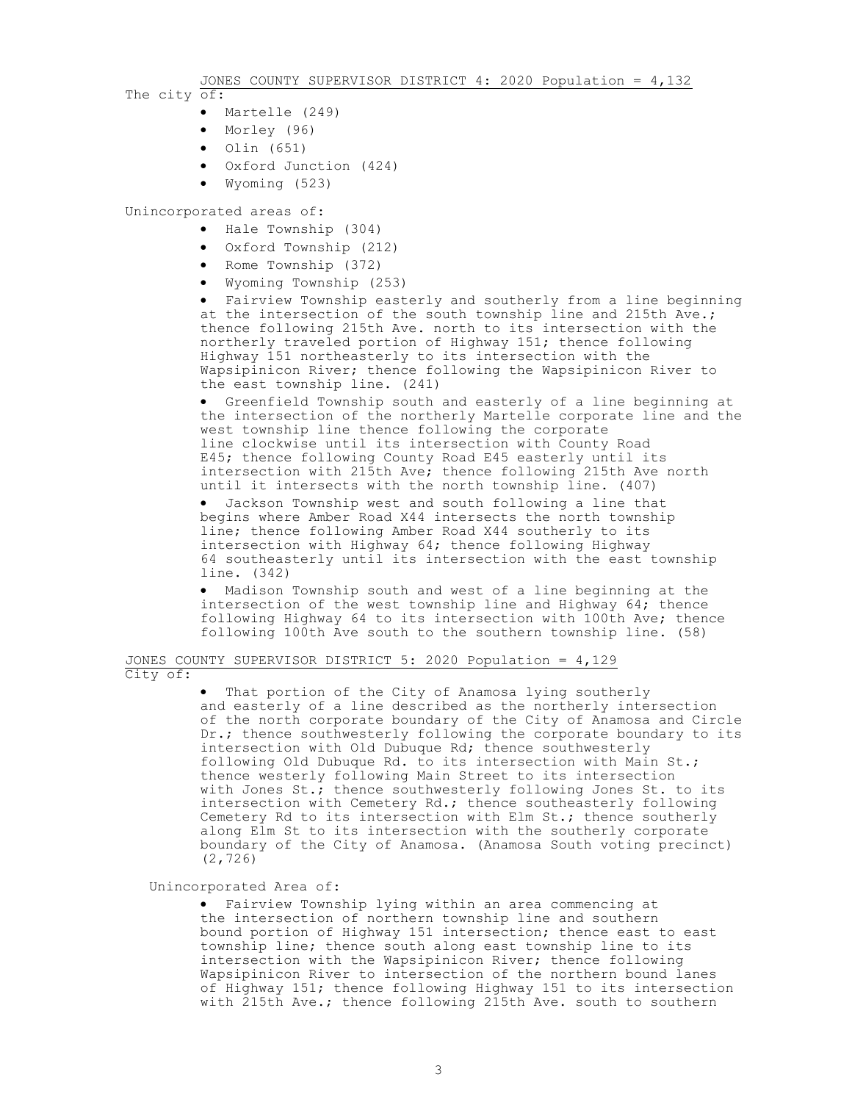JONES COUNTY SUPERVISOR DISTRICT 4: 2020 Population = 4,132

- The city of:
	- Martelle (249)
	- Morley (96)
	- $\bullet$  Olin (651)
	- Oxford Junction (424)
	- Wyoming (523)

Unincorporated areas of:

- Hale Township (304)
- Oxford Township (212)
- Rome Township (372)
- Wyoming Township (253)

 Fairview Township easterly and southerly from a line beginning at the intersection of the south township line and 215th Ave.; thence following 215th Ave. north to its intersection with the northerly traveled portion of Highway 151; thence following Highway 151 northeasterly to its intersection with the Wapsipinicon River; thence following the Wapsipinicon River to the east township line. (241)

 Greenfield Township south and easterly of a line beginning at the intersection of the northerly Martelle corporate line and the west township line thence following the corporate line clockwise until its intersection with County Road E45; thence following County Road E45 easterly until its intersection with 215th Ave; thence following 215th Ave north until it intersects with the north township line. (407)

 Jackson Township west and south following a line that begins where Amber Road X44 intersects the north township line; thence following Amber Road X44 southerly to its intersection with Highway 64; thence following Highway 64 southeasterly until its intersection with the east township line. (342)

 Madison Township south and west of a line beginning at the intersection of the west township line and Highway 64; thence following Highway 64 to its intersection with 100th Ave; thence following 100th Ave south to the southern township line. (58)

## JONES COUNTY SUPERVISOR DISTRICT 5: 2020 Population = 4,129 City of:

 That portion of the City of Anamosa lying southerly and easterly of a line described as the northerly intersection of the north corporate boundary of the City of Anamosa and Circle Dr.; thence southwesterly following the corporate boundary to its intersection with Old Dubuque Rd; thence southwesterly following Old Dubuque Rd. to its intersection with Main St.; thence westerly following Main Street to its intersection with Jones  $St.$ ; thence southwesterly following Jones  $St.$  to its intersection with Cemetery Rd.; thence southeasterly following Cemetery Rd to its intersection with Elm St.; thence southerly along Elm St to its intersection with the southerly corporate boundary of the City of Anamosa. (Anamosa South voting precinct) (2,726)

## Unincorporated Area of:

 Fairview Township lying within an area commencing at the intersection of northern township line and southern bound portion of Highway 151 intersection; thence east to east township line; thence south along east township line to its intersection with the Wapsipinicon River; thence following Wapsipinicon River to intersection of the northern bound lanes of Highway 151; thence following Highway 151 to its intersection with 215th Ave.; thence following 215th Ave. south to southern